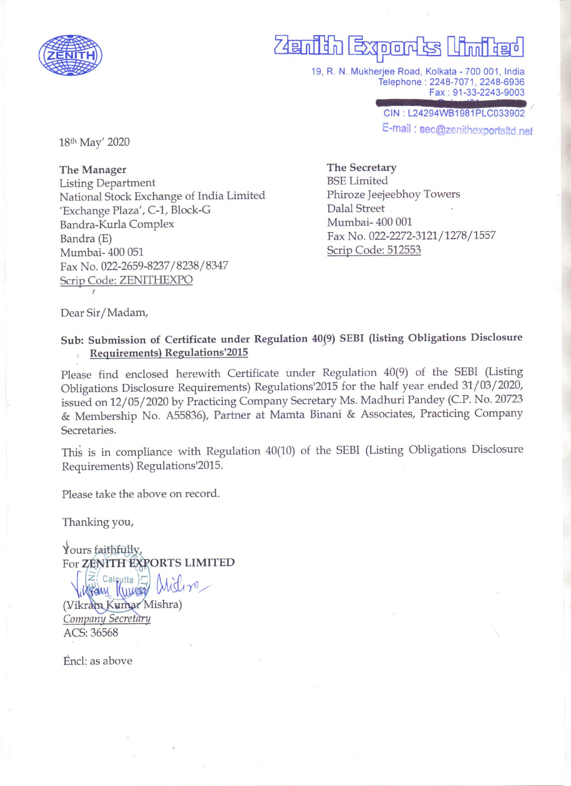

# **Zenith Exports**  $n_{\text{min}}$

19, R. N. Mukherjee Road, Kolkata - 700 001, India Telephone: 2248-7071, 2248-6936 Fax: 91-33-2243-9003

> CIN: L24294WB1981PLC033902 E-mail: sec@zenithexportsItd.net

18th May' 2020

The Manager **Listing Department** National Stock Exchange of India Limited 'Exchange Plaza', C-1, Block-G Bandra-Kurla Complex Bandra (E) Mumbai-400 051 Fax No. 022-2659-8237/8238/8347 Scrip Code: ZENITHEXPO

**The Secretary BSE Limited** Phiroze Jeejeebhoy Towers Dalal Street Mumbai-400 001 Fax No. 022-2272-3121/1278/1557 Scrip Code: 512553

Dear Sir/Madam,

## Sub: Submission of Certificate under Regulation 40(9) SEBI (listing Obligations Disclosure **Requirements) Regulations'2015**

Please find enclosed herewith Certificate under Regulation 40(9) of the SEBI (Listing Obligations Disclosure Requirements) Regulations'2015 for the half year ended 31/03/2020, issued on 12/05/2020 by Practicing Company Secretary Ms. Madhuri Pandey (C.P. No. 20723 & Membership No. A55836), Partner at Mamta Binani & Associates, Practicing Company Secretaries.

This is in compliance with Regulation 40(10) of the SEBI (Listing Obligations Disclosure Requirements) Regulations'2015.

Please take the above on record.

Thanking you,

Yours faithfully, For ZENITH EXPORTS LIMITED

 $\geq$  Calcutta  $\sum$ Wrain Kuman (Vikram Kumar Mishra) Company Secretary ACS: 36568

Encl: as above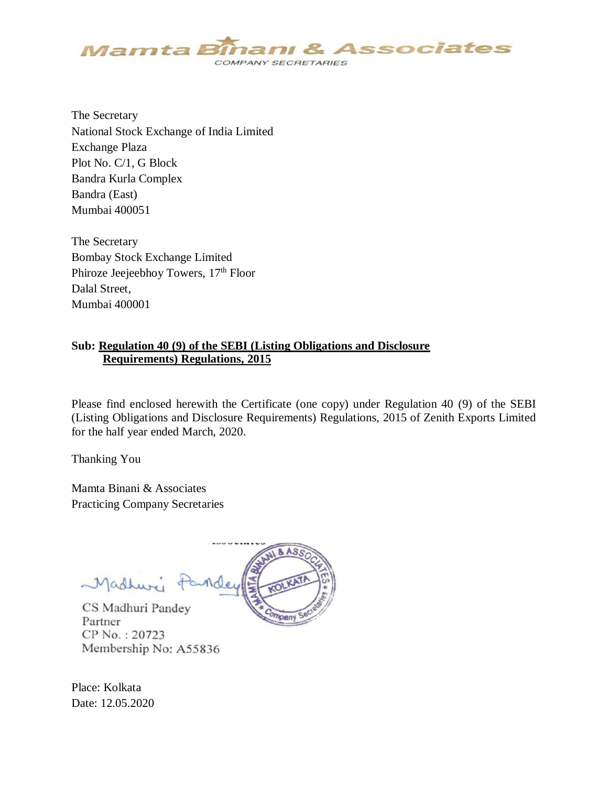

The Secretary National Stock Exchange of India Limited Exchange Plaza Plot No. C/1, G Block Bandra Kurla Complex Bandra (East) Mumbai 400051

The Secretary Bombay Stock Exchange Limited Phiroze Jeejeebhoy Towers, 17<sup>th</sup> Floor Dalal Street, Mumbai 400001

#### **Sub: Regulation 40 (9) of the SEBI (Listing Obligations and Disclosure Requirements) Regulations, 2015**

Please find enclosed herewith the Certificate (one copy) under Regulation 40 (9) of the SEBI (Listing Obligations and Disclosure Requirements) Regulations, 2015 of Zenith Exports Limited for the half year ended March, 2020.

Thanking You

Mamta Binani & Associates Practicing Company Secretaries



CS Madhuri Pandey Partner CP No.: 20723 Membership No: A55836

Place: Kolkata Date: 12.05.2020

Madhuri